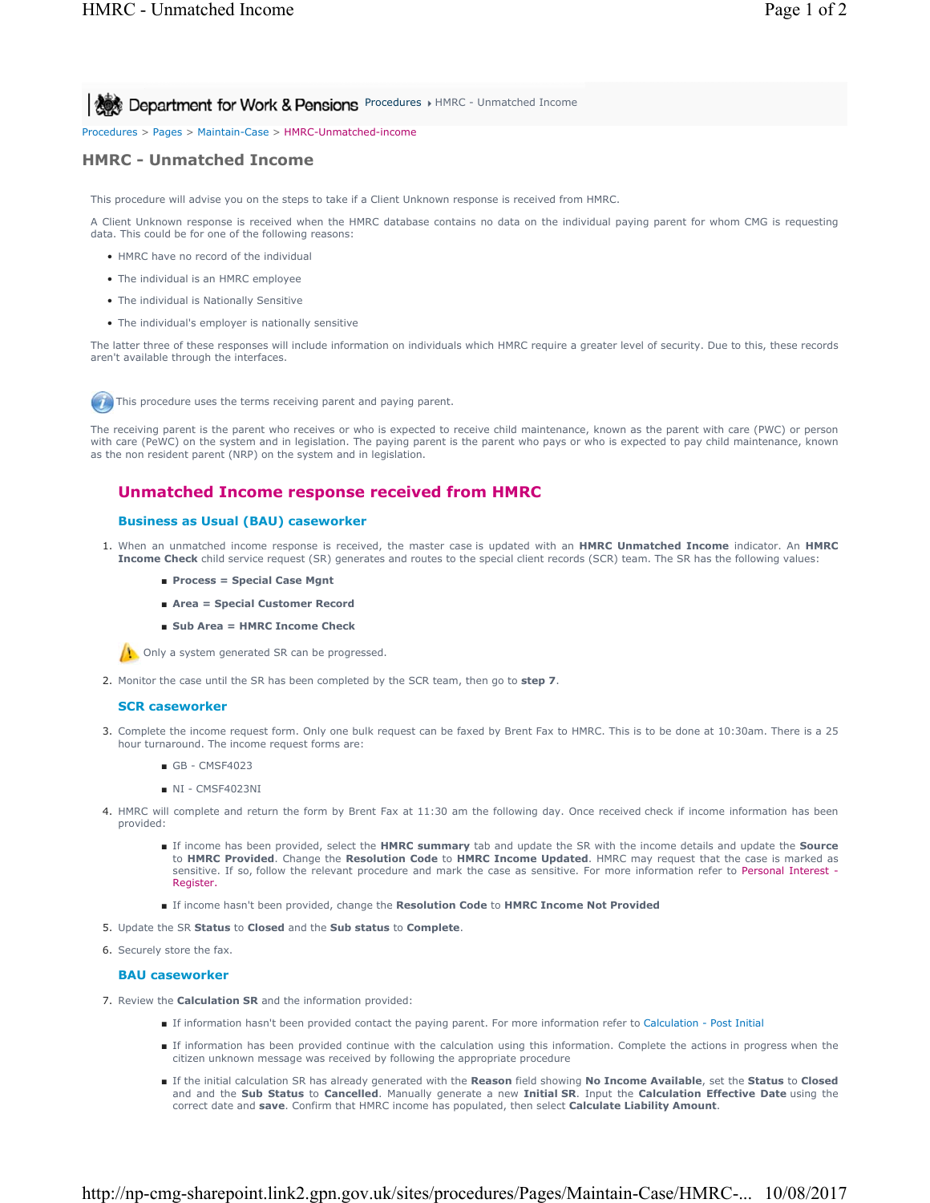**Procedures I HMRC - Unmatched Income Appartment for Work & Pensions** Procedures I HMRC - Unmatched Income

Procedures > Pages > Maintain-Case > HMRC-Unmatched-income

# **HMRC - Unmatched Income**

This procedure will advise you on the steps to take if a Client Unknown response is received from HMRC.

A Client Unknown response is received when the HMRC database contains no data on the individual paying parent for whom CMG is requesting data. This could be for one of the following reasons:

- HMRC have no record of the individual
- The individual is an HMRC employee
- The individual is Nationally Sensitive
- The individual's employer is nationally sensitive

The latter three of these responses will include information on individuals which HMRC require a greater level of security. Due to this, these records aren't available through the interfaces.

This procedure uses the terms receiving parent and paying parent.

The receiving parent is the parent who receives or who is expected to receive child maintenance, known as the parent with care (PWC) or person with care (PeWC) on the system and in legislation. The paying parent is the parent who pays or who is expected to pay child maintenance, known as the non resident parent (NRP) on the system and in legislation.

# **Unmatched Income response received from HMRC**

# **Business as Usual (BAU) caseworker**

- 1. When an unmatched income response is received, the master case is updated with an **HMRC Unmatched Income** indicator. An HMRC **Income Check** child service request (SR) generates and routes to the special client records (SCR) team. The SR has the following values:
	- **Process = Special Case Mgnt**
	- **Area = Special Customer Record**
	- **Sub Area = HMRC Income Check**

**(1)** Only a system generated SR can be progressed.

2. Monitor the case until the SR has been completed by the SCR team, then go to **step 7**.

## **SCR caseworker**

- 3. Complete the income request form. Only one bulk request can be faxed by Brent Fax to HMRC. This is to be done at 10:30am. There is a 25 hour turnaround. The income request forms are:
	- GB CMSF4023
	- NI CMSF4023NI
- 4. HMRC will complete and return the form by Brent Fax at 11:30 am the following day. Once received check if income information has been provided:
	- If income has been provided, select the HMRC summary tab and update the SR with the income details and update the Source to **HMRC Provided**. Change the **Resolution Code** to **HMRC Income Updated**. HMRC may request that the case is marked as sensitive. If so, follow the relevant procedure and mark the case as sensitive. For more information refer to Personal Interest -Register.
	- If income hasn't been provided, change the **Resolution Code** to **HMRC Income Not Provided**
- 5. Update the SR **Status** to **Closed** and the **Sub status** to **Complete**.
- 6. Securely store the fax.

#### **BAU caseworker**

- 7. Review the **Calculation SR** and the information provided:
	- If information hasn't been provided contact the paying parent. For more information refer to Calculation Post Initial
		- If information has been provided continue with the calculation using this information. Complete the actions in progress when the citizen unknown message was received by following the appropriate procedure
	- If the initial calculation SR has already generated with the Reason field showing No Income Available, set the Status to Closed and and the **Sub Status** to **Cancelled**. Manually generate a new **Initial SR**. Input the **Calculation Effective Date** using the correct date and **save**. Confirm that HMRC income has populated, then select **Calculate Liability Amount**.